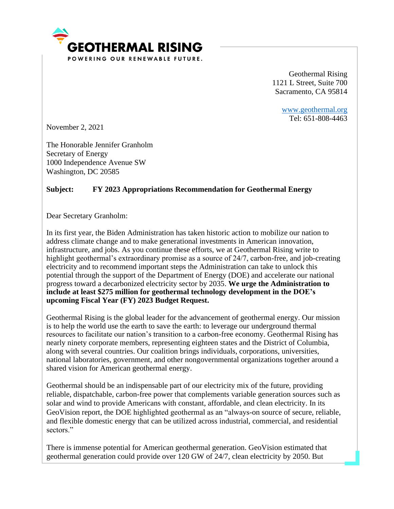

Geothermal Rising 1121 L Street, Suite 700 Sacramento, CA 95814

> [www.geothermal.org](http://www.geothermal.org/) Tel: 651-808-4463

November 2, 2021

The Honorable Jennifer Granholm Secretary of Energy 1000 Independence Avenue SW Washington, DC 20585

## **Subject: FY 2023 Appropriations Recommendation for Geothermal Energy**

Dear Secretary Granholm:

In its first year, the Biden Administration has taken historic action to mobilize our nation to address climate change and to make generational investments in American innovation, infrastructure, and jobs. As you continue these efforts, we at Geothermal Rising write to highlight geothermal's extraordinary promise as a source of 24/7, carbon-free, and job-creating electricity and to recommend important steps the Administration can take to unlock this potential through the support of the Department of Energy (DOE) and accelerate our national progress toward a decarbonized electricity sector by 2035. **We urge the Administration to include at least \$275 million for geothermal technology development in the DOE's upcoming Fiscal Year (FY) 2023 Budget Request.**

Geothermal Rising is the global leader for the advancement of geothermal energy. Our mission is to help the world use the earth to save the earth: to leverage our underground thermal resources to facilitate our nation's transition to a carbon-free economy. Geothermal Rising has nearly ninety corporate members, representing eighteen states and the District of Columbia, along with several countries. Our coalition brings individuals, corporations, universities, national laboratories, government, and other nongovernmental organizations together around a shared vision for American geothermal energy.

Geothermal should be an indispensable part of our electricity mix of the future, providing reliable, dispatchable, carbon-free power that complements variable generation sources such as solar and wind to provide Americans with constant, affordable, and clean electricity. In its GeoVision report, the DOE highlighted geothermal as an "always-on source of secure, reliable, and flexible domestic energy that can be utilized across industrial, commercial, and residential sectors<sup>"</sup>

There is immense potential for American geothermal generation. GeoVision estimated that geothermal generation could provide over 120 GW of 24/7, clean electricity by 2050. But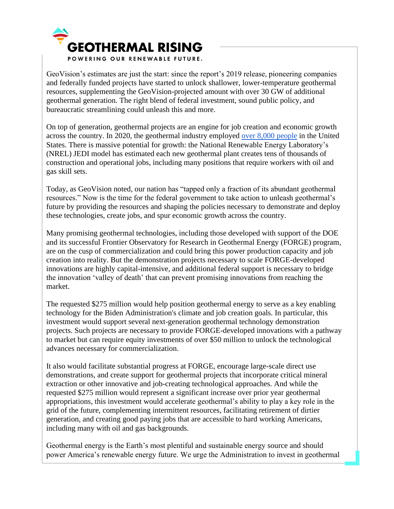

GeoVision's estimates are just the start: since the report's 2019 release, pioneering companies and federally funded projects have started to unlock shallower, lower-temperature geothermal resources, supplementing the GeoVision-projected amount with over 30 GW of additional geothermal generation. The right blend of federal investment, sound public policy, and bureaucratic streamlining could unleash this and more.

On top of generation, geothermal projects are an engine for job creation and economic growth across the country. In 2020, the geothermal industry employed [over 8,000 people](https://www.energy.gov/us-energy-employment-jobs-report-useer) in the United States. There is massive potential for growth: the National Renewable Energy Laboratory's (NREL) JEDI model has estimated each new geothermal plant creates tens of thousands of construction and operational jobs, including many positions that require workers with oil and gas skill sets.

Today, as GeoVision noted, our nation has "tapped only a fraction of its abundant geothermal resources." Now is the time for the federal government to take action to unleash geothermal's future by providing the resources and shaping the policies necessary to demonstrate and deploy these technologies, create jobs, and spur economic growth across the country.

Many promising geothermal technologies, including those developed with support of the DOE and its successful Frontier Observatory for Research in Geothermal Energy (FORGE) program, are on the cusp of commercialization and could bring this power production capacity and job creation into reality. But the demonstration projects necessary to scale FORGE-developed innovations are highly capital-intensive, and additional federal support is necessary to bridge the innovation 'valley of death' that can prevent promising innovations from reaching the market.

The requested \$275 million would help position geothermal energy to serve as a key enabling technology for the Biden Administration's climate and job creation goals. In particular, this investment would support several next-generation geothermal technology demonstration projects. Such projects are necessary to provide FORGE-developed innovations with a pathway to market but can require equity investments of over \$50 million to unlock the technological advances necessary for commercialization.

It also would facilitate substantial progress at FORGE, encourage large-scale direct use demonstrations, and create support for geothermal projects that incorporate critical mineral extraction or other innovative and job-creating technological approaches. And while the requested \$275 million would represent a significant increase over prior year geothermal appropriations, this investment would accelerate geothermal's ability to play a key role in the grid of the future, complementing intermittent resources, facilitating retirement of dirtier generation, and creating good paying jobs that are accessible to hard working Americans, including many with oil and gas backgrounds.

Geothermal energy is the Earth's most plentiful and sustainable energy source and should power America's renewable energy future. We urge the Administration to invest in geothermal